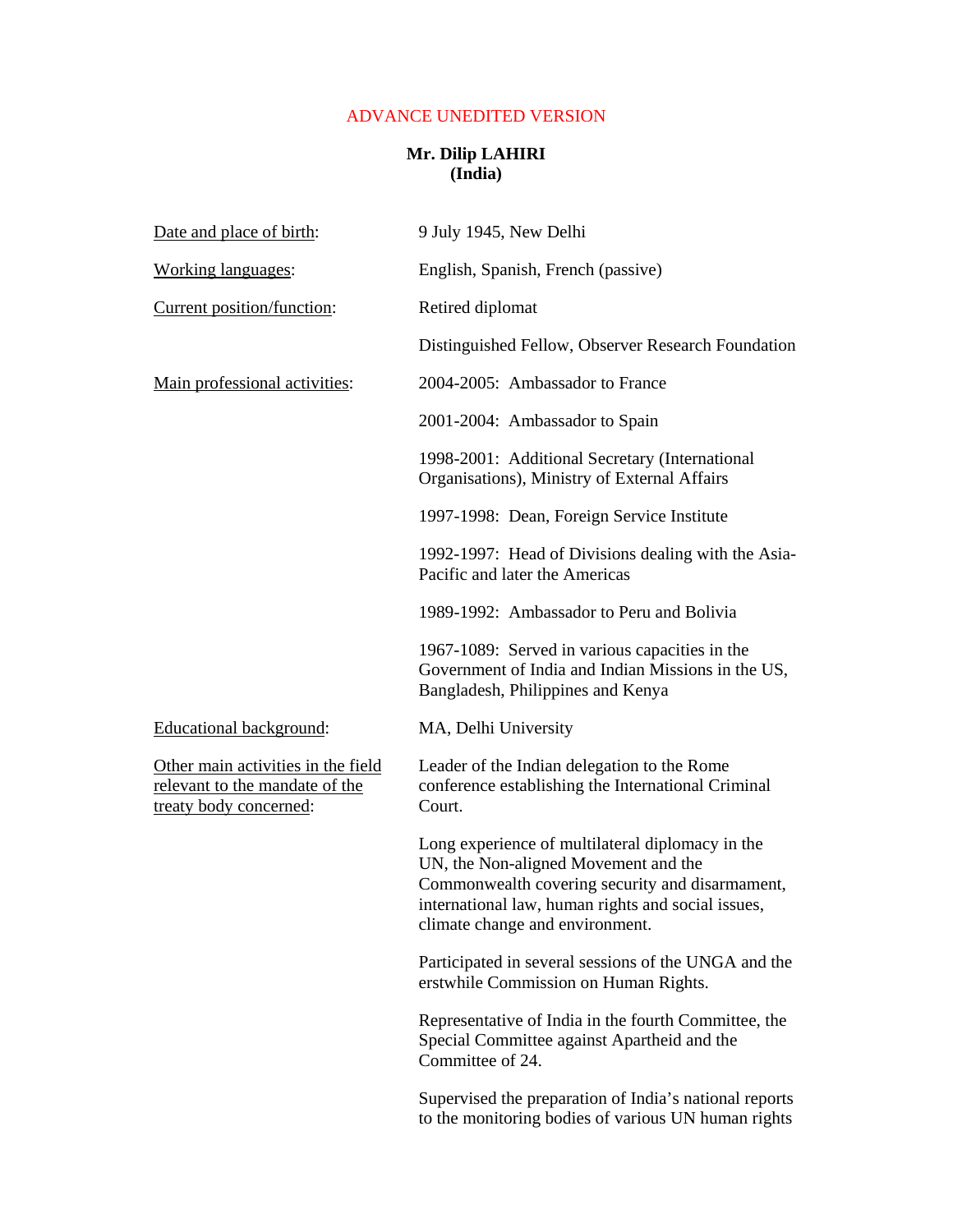## ADVANCE UNEDITED VERSION

## **Mr. Dilip LAHIRI (India)**

| Date and place of birth:                                                                       | 9 July 1945, New Delhi                                                                                                                                                                                                               |
|------------------------------------------------------------------------------------------------|--------------------------------------------------------------------------------------------------------------------------------------------------------------------------------------------------------------------------------------|
| Working languages:                                                                             | English, Spanish, French (passive)                                                                                                                                                                                                   |
| Current position/function:                                                                     | Retired diplomat                                                                                                                                                                                                                     |
|                                                                                                | Distinguished Fellow, Observer Research Foundation                                                                                                                                                                                   |
| Main professional activities:                                                                  | 2004-2005: Ambassador to France                                                                                                                                                                                                      |
|                                                                                                | 2001-2004: Ambassador to Spain                                                                                                                                                                                                       |
|                                                                                                | 1998-2001: Additional Secretary (International<br>Organisations), Ministry of External Affairs                                                                                                                                       |
|                                                                                                | 1997-1998: Dean, Foreign Service Institute                                                                                                                                                                                           |
|                                                                                                | 1992-1997: Head of Divisions dealing with the Asia-<br>Pacific and later the Americas                                                                                                                                                |
|                                                                                                | 1989-1992: Ambassador to Peru and Bolivia                                                                                                                                                                                            |
|                                                                                                | 1967-1089: Served in various capacities in the<br>Government of India and Indian Missions in the US,<br>Bangladesh, Philippines and Kenya                                                                                            |
| Educational background:                                                                        | MA, Delhi University                                                                                                                                                                                                                 |
| Other main activities in the field<br>relevant to the mandate of the<br>treaty body concerned: | Leader of the Indian delegation to the Rome<br>conference establishing the International Criminal<br>Court.                                                                                                                          |
|                                                                                                | Long experience of multilateral diplomacy in the<br>UN, the Non-aligned Movement and the<br>Commonwealth covering security and disarmament,<br>international law, human rights and social issues,<br>climate change and environment. |
|                                                                                                | Participated in several sessions of the UNGA and the<br>erstwhile Commission on Human Rights.                                                                                                                                        |
|                                                                                                | Representative of India in the fourth Committee, the<br>Special Committee against Apartheid and the<br>Committee of 24.                                                                                                              |
|                                                                                                | Supervised the preparation of India's national reports<br>to the monitoring bodies of various UN human rights                                                                                                                        |